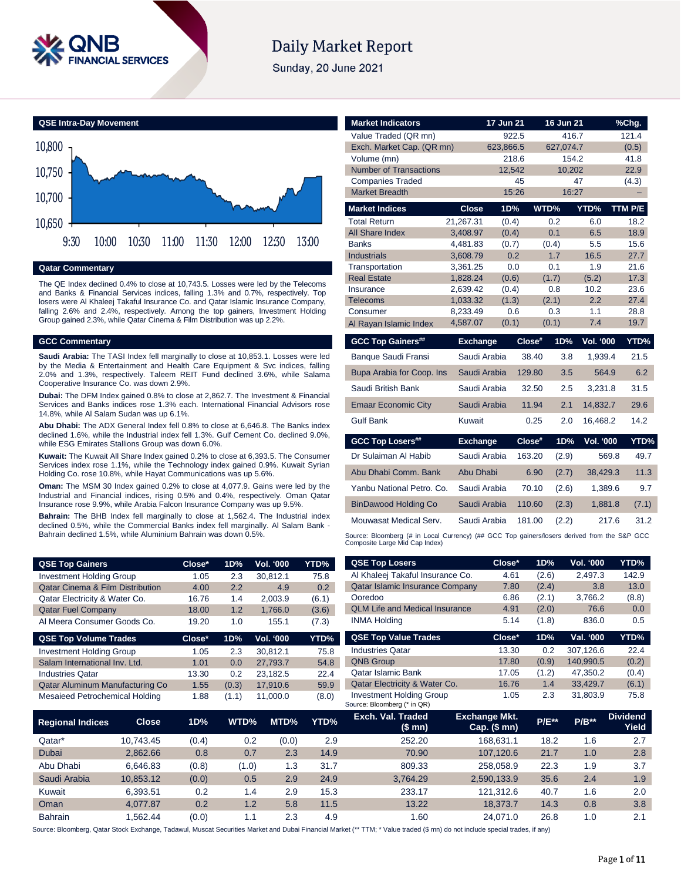

# Daily Market Report

Sunday, 20 June 2021



### **Qatar Commentary**

The QE Index declined 0.4% to close at 10,743.5. Losses were led by the Telecoms and Banks & Financial Services indices, falling 1.3% and 0.7%, respectively. Top losers were Al Khaleej Takaful Insurance Co. and Qatar Islamic Insurance Company, falling 2.6% and 2.4%, respectively. Among the top gainers, Investment Holding Group gained 2.3%, while Qatar Cinema & Film Distribution was up 2.2%.

### **GCC Commentary**

**Saudi Arabia:** The TASI Index fell marginally to close at 10,853.1. Losses were led by the Media & Entertainment and Health Care Equipment & Svc indices, falling 2.0% and 1.3%, respectively. Taleem REIT Fund declined 3.6%, while Salama Cooperative Insurance Co. was down 2.9%.

**Dubai:** The DFM Index gained 0.8% to close at 2,862.7. The Investment & Financial Services and Banks indices rose 1.3% each. International Financial Advisors rose 14.8%, while Al Salam Sudan was up 6.1%.

**Abu Dhabi:** The ADX General Index fell 0.8% to close at 6,646.8. The Banks index declined 1.6%, while the Industrial index fell 1.3%. Gulf Cement Co. declined 9.0%, while ESG Emirates Stallions Group was down 6.0%.

**Kuwait:** The Kuwait All Share Index gained 0.2% to close at 6,393.5. The Consumer Services index rose 1.1%, while the Technology index gained 0.9%. Kuwait Syrian Holding Co. rose 10.8%, while Hayat Communications was up 5.6%.

**Oman:** The MSM 30 Index gained 0.2% to close at 4,077.9. Gains were led by the Industrial and Financial indices, rising 0.5% and 0.4%, respectively. Oman Qatar Insurance rose 9.9%, while Arabia Falcon Insurance Company was up 9.5%.

**Bahrain:** The BHB Index fell marginally to close at 1,562.4. The Industrial index declined 0.5%, while the Commercial Banks index fell marginally. Al Salam Bank - Bahrain declined 1.5%, while Aluminium Bahrain was down 0.5%.

| <b>QSE Top Gainers</b>                      | Close* | 1D% | <b>Vol. '000</b> | YTD%             |
|---------------------------------------------|--------|-----|------------------|------------------|
| <b>Investment Holding Group</b>             | 1.05   | 2.3 | 30.812.1         | 75.8             |
| <b>Qatar Cinema &amp; Film Distribution</b> | 4.00   | 2.2 | 4.9              | 0.2 <sub>2</sub> |
| Qatar Electricity & Water Co.               | 16.76  | 1.4 | 2.003.9          | (6.1)            |
| <b>Qatar Fuel Company</b>                   | 18.00  | 1.2 | 1,766.0          | (3.6)            |
| Al Meera Consumer Goods Co.                 | 19.20  | 1.0 | 155.1            | (7.3)            |
|                                             |        |     |                  |                  |

| <b>QSE Top Volume Trades</b>          | Close* | 1D%   | <b>Vol. '000</b> | YTD%  |
|---------------------------------------|--------|-------|------------------|-------|
| <b>Investment Holding Group</b>       | 1.05   | 2.3   | 30.812.1         | 75.8  |
| Salam International Inv. Ltd.         | 1.01   | 0.0   | 27.793.7         | 54.8  |
| <b>Industries Qatar</b>               | 13.30  | 0.2   | 23.182.5         | 22.4  |
| Qatar Aluminum Manufacturing Co       | 1.55   | (0.3) | 17.910.6         | 59.9  |
| <b>Mesaieed Petrochemical Holding</b> | 1.88   | (1.1) | 11.000.0         | (8.0) |

| <b>Market Indicators</b>      |                      | 17 Jun 21      |        | 16 Jun 21    |                  | %Chg.                                |
|-------------------------------|----------------------|----------------|--------|--------------|------------------|--------------------------------------|
| Value Traded (QR mn)          |                      | 922.5          |        | 416.7        |                  | 121.4                                |
| Exch. Market Cap. (QR mn)     |                      | 623,866.5      |        | 627,074.7    |                  | (0.5)                                |
| Volume (mn)                   |                      | 218.6          |        | 154.2        |                  | 41.8                                 |
| <b>Number of Transactions</b> |                      | 12,542         |        | 10,202       |                  | 22.9                                 |
| <b>Companies Traded</b>       |                      |                | 45     |              | 47               | (4.3)                                |
| <b>Market Breadth</b>         |                      | 15:26          |        | 16:27        |                  |                                      |
| <b>Market Indices</b>         | <b>Close</b>         | 1D%            |        | WTD%         | YTD%             | TTM P/E                              |
| <b>Total Return</b>           | 21,267.31            | (0.4)          |        | 0.2          | 6.0              | 18.2                                 |
| All Share Index               | 3,408.97             | (0.4)          |        | 0.1          | 6.5              | 18.9                                 |
| <b>Banks</b>                  | 4.481.83             | (0.7)          |        | (0.4)        | 5.5              | 15.6                                 |
| <b>Industrials</b>            | 3.608.79             | 0.2            |        | 1.7          | 16.5             | 27.7                                 |
| Transportation                | 3,361.25             | 0.0            |        | 0.1          | 1.9              | 21.6                                 |
| <b>Real Estate</b>            | 1,828.24<br>2.639.42 | (0.6)          |        | (1.7)        | (5.2)<br>10.2    | 17.3<br>23.6                         |
| Insurance<br><b>Telecoms</b>  | 1,033.32             | (0.4)<br>(1.3) |        | 0.8<br>(2.1) | 2.2              | 27.4                                 |
| Consumer                      | 8.233.49             | 0.6            |        | 0.3          | 1.1              | 28.8                                 |
| Al Rayan Islamic Index        | 4,587.07             | (0.1)          |        | (0.1)        | 7.4              | 19.7                                 |
|                               |                      |                |        |              |                  |                                      |
| <b>GCC Top Gainers##</b>      | <b>Exchange</b>      |                | Close# | 1D%          | <b>Vol. '000</b> | YTD%                                 |
| Banque Saudi Fransi           | Saudi Arabia         |                | 38.40  | 3.8          | 1.939.4          | 21.5                                 |
| Bupa Arabia for Coop. Ins     | Saudi Arabia         |                | 129.80 | 3.5          | 564.9            | 6.2                                  |
| Saudi British Bank            | Saudi Arabia         |                | 32.50  | 2.5          | 3,231.8          | 31.5                                 |
| <b>Emaar Economic City</b>    | Saudi Arabia         |                | 11.94  | 2.1          | 14,832.7         | 29.6                                 |
| Gulf Bank                     | Kuwait               |                | 0.25   | 2.0          | 16,468.2         | 14.2                                 |
| <b>GCC Top Losers##</b>       | <b>Exchange</b>      |                | Close# | 1D%          | Vol. '000        |                                      |
| Dr Sulaiman Al Habib          | Saudi Arabia         |                | 163.20 | (2.9)        | 569.8            |                                      |
| Abu Dhabi Comm. Bank          | Abu Dhabi            |                | 6.90   | (2.7)        | 38,429.3         |                                      |
| Yanbu National Petro, Co.     | Saudi Arabia         |                | 70.10  | (2.6)        | 1,389.6          |                                      |
| <b>BinDawood Holding Co</b>   | Saudi Arabia         |                | 110.60 | (2.3)        | 1,881.8          | YTD%<br>49.7<br>11.3<br>9.7<br>(7.1) |
| Mouwasat Medical Serv.        | Saudi Arabia         |                | 181.00 | (2.2)        | 217.6            | 31.2                                 |

**QSE Top Losers Close\* 1D% Vol. '000 YTD%** Al Khaleej Takaful Insurance Co. 4.61 (2.6) 2,497.3 142.9 Qatar Islamic Insurance Company 7.80 (2.4) 3.8 13.0 Ooredoo 6.86 (2.1) 3,766.2 (8.8) QLM Life and Medical Insurance  $4.91$  (2.0) 76.6 0.0 INMA Holding 5.14 (1.8) 836.0 0.5 **QSE Top Value Trades Close\* 1D% Val. '000 YTD%** Industries Qatar 13.30 0.2 307,126.6 22.4 QNB Group 17.80 (0.9) 140,990.5 (0.2) Qatar Islamic Bank 17.05 (1.2) 47,350.2 (0.4) Qatar Electricity & Water Co. 16.76 1.4 33,429.7 (6.1) Investment Holding Group 1.05 2.3 31,803.9 75.8 Source: Bloomberg (\* in QR) **Regional Indices Close 1D% WTD% MTD% YTD% Exch. Val. Traded (\$ mn) Exchange Mkt. Cap. (\$ mn) P/E\*\* P/B\*\* Dividend Yield**

|                |           |       |       |       |      | (\$ mn)  | $Cap.$ (\$ mn) |      |     | r ield |
|----------------|-----------|-------|-------|-------|------|----------|----------------|------|-----|--------|
| Qatar*         | 10.743.45 | (0.4) | 0.2   | (0.0) | 2.9  | 252.20   | 168.631.1      | 18.2 | 1.6 | 2.7    |
| <b>Dubai</b>   | 2.862.66  | 0.8   | 0.7   | 2.3   | 14.9 | 70.90    | 107.120.6      | 21.7 | 1.0 | 2.8    |
| Abu Dhabi      | 6.646.83  | (0.8) | (1.0) | 1.3   | 31.7 | 809.33   | 258.058.9      | 22.3 | 1.9 | 3.7    |
| Saudi Arabia   | 10.853.12 | (0.0) | 0.5   | 2.9   | 24.9 | 3.764.29 | 2.590.133.9    | 35.6 | 2.4 | 1.9    |
| Kuwait         | 6.393.51  | 0.2   | 1.4   | 2.9   | 15.3 | 233.17   | 121.312.6      | 40.7 | 1.6 | 2.0    |
| Oman           | 4.077.87  | 0.2   | 1.2   | 5.8   | 11.5 | 13.22    | 18.373.7       | 14.3 | 0.8 | 3.8    |
| <b>Bahrain</b> | .562.44   | (0.0) | 1.1   | 2.3   | 4.9  | 1.60     | 24.071.0       | 26.8 | 1.0 | 2.1    |

Source: Bloomberg, Qatar Stock Exchange, Tadawul, Muscat Securities Market and Dubai Financial Market (\*\* TTM; \* Value traded (\$ mn) do not include special trades, if any)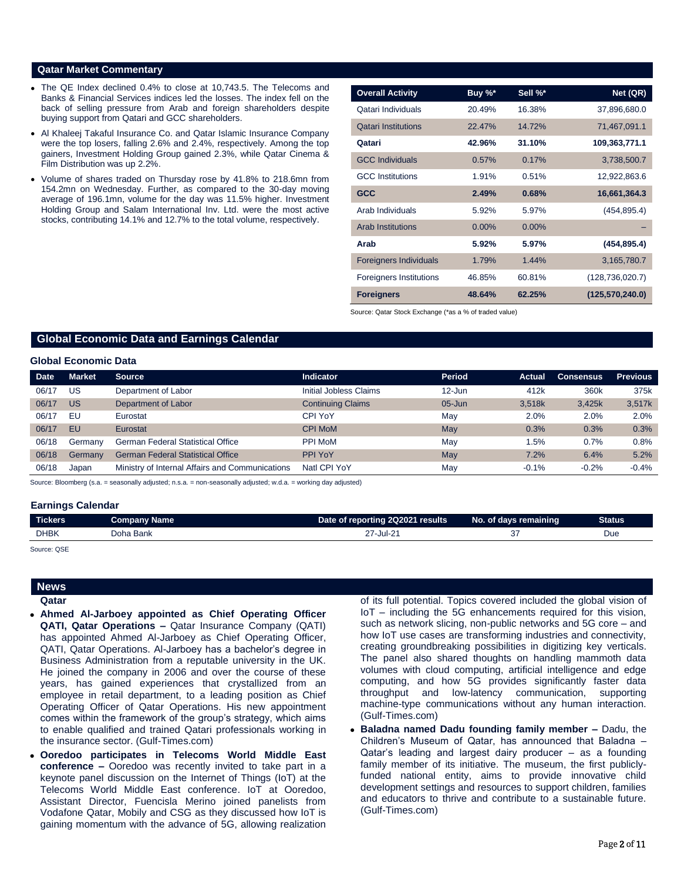# **Qatar Market Commentary**

- The QE Index declined 0.4% to close at 10,743.5. The Telecoms and Banks & Financial Services indices led the losses. The index fell on the back of selling pressure from Arab and foreign shareholders despite buying support from Qatari and GCC shareholders.
- Al Khaleej Takaful Insurance Co. and Qatar Islamic Insurance Company were the top losers, falling 2.6% and 2.4%, respectively. Among the top gainers, Investment Holding Group gained 2.3%, while Qatar Cinema & Film Distribution was up 2.2%.
- Volume of shares traded on Thursday rose by 41.8% to 218.6mn from 154.2mn on Wednesday. Further, as compared to the 30-day moving average of 196.1mn, volume for the day was 11.5% higher. Investment Holding Group and Salam International Inv. Ltd. were the most active stocks, contributing 14.1% and 12.7% to the total volume, respectively.

| <b>Overall Activity</b>        | Buy %*   | Sell %*  | Net (QR)          |
|--------------------------------|----------|----------|-------------------|
| Qatari Individuals             | 20.49%   | 16.38%   | 37,896,680.0      |
| <b>Qatari Institutions</b>     | 22.47%   | 14.72%   | 71,467,091.1      |
| Qatari                         | 42.96%   | 31.10%   | 109,363,771.1     |
| <b>GCC Individuals</b>         | 0.57%    | 0.17%    | 3,738,500.7       |
| <b>GCC</b> Institutions        | 1.91%    | 0.51%    | 12,922,863.6      |
| <b>GCC</b>                     | 2.49%    | 0.68%    | 16,661,364.3      |
| Arab Individuals               | 5.92%    | 5.97%    | (454, 895.4)      |
| <b>Arab Institutions</b>       | $0.00\%$ | $0.00\%$ |                   |
| Arab                           | 5.92%    | 5.97%    | (454, 895.4)      |
| <b>Foreigners Individuals</b>  | 1.79%    | 1.44%    | 3,165,780.7       |
| <b>Foreigners Institutions</b> | 46.85%   | 60.81%   | (128, 736, 020.7) |
| <b>Foreigners</b>              | 48.64%   | 62.25%   | (125, 570, 240.0) |

Source: Qatar Stock Exchange (\*as a % of traded value)

# **Global Economic Data and Earnings Calendar**

# **Global Economic Data**

| <b>Date</b> | <b>Market</b> | <b>Source</b>                                   | <b>Indicator</b>         | <b>Period</b> | Actual  | <b>Consensus</b> | <b>Previous</b> |
|-------------|---------------|-------------------------------------------------|--------------------------|---------------|---------|------------------|-----------------|
| 06/17       | US            | Department of Labor                             | Initial Jobless Claims   | $12 - Jun$    | 412k    | 360k             | 375k            |
| 06/17       | US            | Department of Labor                             | <b>Continuing Claims</b> | $05 - Jun$    | 3.518k  | 3.425k           | 3,517k          |
| 06/17       | EU            | Eurostat                                        | CPI YoY                  | Mav           | 2.0%    | 2.0%             | 2.0%            |
| 06/17       | EU            | Eurostat                                        | <b>CPI MoM</b>           | May           | 0.3%    | 0.3%             | 0.3%            |
| 06/18       | Germany       | German Federal Statistical Office               | PPI MoM                  | May           | 1.5%    | 0.7%             | 0.8%            |
| 06/18       | Germany       | <b>German Federal Statistical Office</b>        | PPI YoY                  | May           | 7.2%    | 6.4%             | 5.2%            |
| 06/18       | Japan         | Ministry of Internal Affairs and Communications | Natl CPI YoY             | May           | $-0.1%$ | $-0.2%$          | $-0.4%$         |

Source: Bloomberg (s.a. = seasonally adjusted; n.s.a. = non-seasonally adjusted; w.d.a. = working day adjusted)

# **Earnings Calendar**

| Tickers     | Company Name | Date of reporting 2Q2021 results | No. of days remaining | Status |
|-------------|--------------|----------------------------------|-----------------------|--------|
| <b>DHBK</b> | Doha Bank    | .7-Jul-21                        | ، ب                   | Due    |
|             |              |                                  |                       |        |

Source: QSE

# **News Qatar**

- **Ahmed Al-Jarboey appointed as Chief Operating Officer QATI, Qatar Operations –** Qatar Insurance Company (QATI) has appointed Ahmed Al-Jarboey as Chief Operating Officer, QATI, Qatar Operations. Al-Jarboey has a bachelor's degree in Business Administration from a reputable university in the UK. He joined the company in 2006 and over the course of these years, has gained experiences that crystallized from an employee in retail department, to a leading position as Chief Operating Officer of Qatar Operations. His new appointment comes within the framework of the group's strategy, which aims to enable qualified and trained Qatari professionals working in the insurance sector. (Gulf-Times.com)
- **Ooredoo participates in Telecoms World Middle East conference –** Ooredoo was recently invited to take part in a keynote panel discussion on the Internet of Things (IoT) at the Telecoms World Middle East conference. IoT at Ooredoo, Assistant Director, Fuencisla Merino joined panelists from Vodafone Qatar, Mobily and CSG as they discussed how IoT is gaining momentum with the advance of 5G, allowing realization

of its full potential. Topics covered included the global vision of IoT – including the 5G enhancements required for this vision, such as network slicing, non-public networks and 5G core – and how IoT use cases are transforming industries and connectivity, creating groundbreaking possibilities in digitizing key verticals. The panel also shared thoughts on handling mammoth data volumes with cloud computing, artificial intelligence and edge computing, and how 5G provides significantly faster data throughput and low-latency communication, supporting machine-type communications without any human interaction. (Gulf-Times.com)

 **Baladna named Dadu founding family member –** Dadu, the Children's Museum of Qatar, has announced that Baladna – Qatar's leading and largest dairy producer – as a founding family member of its initiative. The museum, the first publiclyfunded national entity, aims to provide innovative child development settings and resources to support children, families and educators to thrive and contribute to a sustainable future. (Gulf-Times.com)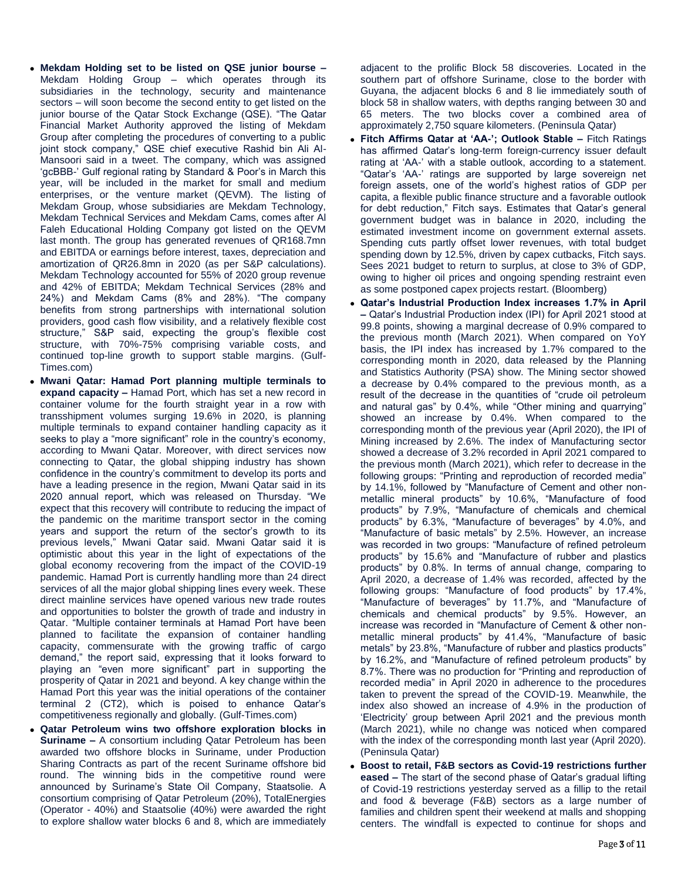- **Mekdam Holding set to be listed on QSE junior bourse –** Mekdam Holding Group – which operates through its subsidiaries in the technology, security and maintenance sectors – will soon become the second entity to get listed on the junior bourse of the Qatar Stock Exchange (QSE). "The Qatar Financial Market Authority approved the listing of Mekdam Group after completing the procedures of converting to a public joint stock company," QSE chief executive Rashid bin Ali Al-Mansoori said in a tweet. The company, which was assigned 'gcBBB-' Gulf regional rating by Standard & Poor's in March this year, will be included in the market for small and medium enterprises, or the venture market (QEVM). The listing of Mekdam Group, whose subsidiaries are Mekdam Technology, Mekdam Technical Services and Mekdam Cams, comes after Al Faleh Educational Holding Company got listed on the QEVM last month. The group has generated revenues of QR168.7mn and EBITDA or earnings before interest, taxes, depreciation and amortization of QR26.8mn in 2020 (as per S&P calculations). Mekdam Technology accounted for 55% of 2020 group revenue and 42% of EBITDA; Mekdam Technical Services (28% and 24%) and Mekdam Cams (8% and 28%). "The company benefits from strong partnerships with international solution providers, good cash flow visibility, and a relatively flexible cost structure," S&P said, expecting the group's flexible cost structure, with 70%-75% comprising variable costs, and continued top-line growth to support stable margins. (Gulf-Times.com)
- **Mwani Qatar: Hamad Port planning multiple terminals to expand capacity –** Hamad Port, which has set a new record in container volume for the fourth straight year in a row with transshipment volumes surging 19.6% in 2020, is planning multiple terminals to expand container handling capacity as it seeks to play a "more significant" role in the country's economy, according to Mwani Qatar. Moreover, with direct services now connecting to Qatar, the global shipping industry has shown confidence in the country's commitment to develop its ports and have a leading presence in the region, Mwani Qatar said in its 2020 annual report, which was released on Thursday. "We expect that this recovery will contribute to reducing the impact of the pandemic on the maritime transport sector in the coming years and support the return of the sector's growth to its previous levels," Mwani Qatar said. Mwani Qatar said it is optimistic about this year in the light of expectations of the global economy recovering from the impact of the COVID-19 pandemic. Hamad Port is currently handling more than 24 direct services of all the major global shipping lines every week. These direct mainline services have opened various new trade routes and opportunities to bolster the growth of trade and industry in Qatar. "Multiple container terminals at Hamad Port have been planned to facilitate the expansion of container handling capacity, commensurate with the growing traffic of cargo demand," the report said, expressing that it looks forward to playing an "even more significant" part in supporting the prosperity of Qatar in 2021 and beyond. A key change within the Hamad Port this year was the initial operations of the container terminal 2 (CT2), which is poised to enhance Qatar's competitiveness regionally and globally. (Gulf-Times.com)
- **Qatar Petroleum wins two offshore exploration blocks in Suriname –** A consortium including Qatar Petroleum has been awarded two offshore blocks in Suriname, under Production Sharing Contracts as part of the recent Suriname offshore bid round. The winning bids in the competitive round were announced by Suriname's State Oil Company, Staatsolie. A consortium comprising of Qatar Petroleum (20%), TotalEnergies (Operator - 40%) and Staatsolie (40%) were awarded the right to explore shallow water blocks 6 and 8, which are immediately

adjacent to the prolific Block 58 discoveries. Located in the southern part of offshore Suriname, close to the border with Guyana, the adjacent blocks 6 and 8 lie immediately south of block 58 in shallow waters, with depths ranging between 30 and 65 meters. The two blocks cover a combined area of approximately 2,750 square kilometers. (Peninsula Qatar)

- **Fitch Affirms Qatar at 'AA-'; Outlook Stable –** Fitch Ratings has affirmed Qatar's long-term foreign-currency issuer default rating at 'AA-' with a stable outlook, according to a statement. "Qatar's 'AA-' ratings are supported by large sovereign net foreign assets, one of the world's highest ratios of GDP per capita, a flexible public finance structure and a favorable outlook for debt reduction," Fitch says. Estimates that Qatar's general government budget was in balance in 2020, including the estimated investment income on government external assets. Spending cuts partly offset lower revenues, with total budget spending down by 12.5%, driven by capex cutbacks, Fitch says. Sees 2021 budget to return to surplus, at close to 3% of GDP, owing to higher oil prices and ongoing spending restraint even as some postponed capex projects restart. (Bloomberg)
- **Qatar's Industrial Production Index increases 1.7% in April –** Qatar's Industrial Production index (IPI) for April 2021 stood at 99.8 points, showing a marginal decrease of 0.9% compared to the previous month (March 2021). When compared on YoY basis, the IPI index has increased by 1.7% compared to the corresponding month in 2020, data released by the Planning and Statistics Authority (PSA) show. The Mining sector showed a decrease by 0.4% compared to the previous month, as a result of the decrease in the quantities of "crude oil petroleum and natural gas" by 0.4%, while "Other mining and quarrying" showed an increase by 0.4%. When compared to the corresponding month of the previous year (April 2020), the IPI of Mining increased by 2.6%. The index of Manufacturing sector showed a decrease of 3.2% recorded in April 2021 compared to the previous month (March 2021), which refer to decrease in the following groups: "Printing and reproduction of recorded media" by 14.1%, followed by "Manufacture of Cement and other nonmetallic mineral products" by 10.6%, "Manufacture of food products" by 7.9%, "Manufacture of chemicals and chemical products" by 6.3%, "Manufacture of beverages" by 4.0%, and "Manufacture of basic metals" by 2.5%. However, an increase was recorded in two groups: "Manufacture of refined petroleum products" by 15.6% and "Manufacture of rubber and plastics products" by 0.8%. In terms of annual change, comparing to April 2020, a decrease of 1.4% was recorded, affected by the following groups: "Manufacture of food products" by 17.4%, "Manufacture of beverages" by 11.7%, and "Manufacture of chemicals and chemical products" by 9.5%. However, an increase was recorded in "Manufacture of Cement & other nonmetallic mineral products" by 41.4%, "Manufacture of basic metals" by 23.8%, "Manufacture of rubber and plastics products" by 16.2%, and "Manufacture of refined petroleum products" by 8.7%. There was no production for "Printing and reproduction of recorded media" in April 2020 in adherence to the procedures taken to prevent the spread of the COVID-19. Meanwhile, the index also showed an increase of 4.9% in the production of 'Electricity' group between April 2021 and the previous month (March 2021), while no change was noticed when compared with the index of the corresponding month last year (April 2020). (Peninsula Qatar)
- **Boost to retail, F&B sectors as Covid-19 restrictions further eased –** The start of the second phase of Qatar's gradual lifting of Covid-19 restrictions yesterday served as a fillip to the retail and food & beverage (F&B) sectors as a large number of families and children spent their weekend at malls and shopping centers. The windfall is expected to continue for shops and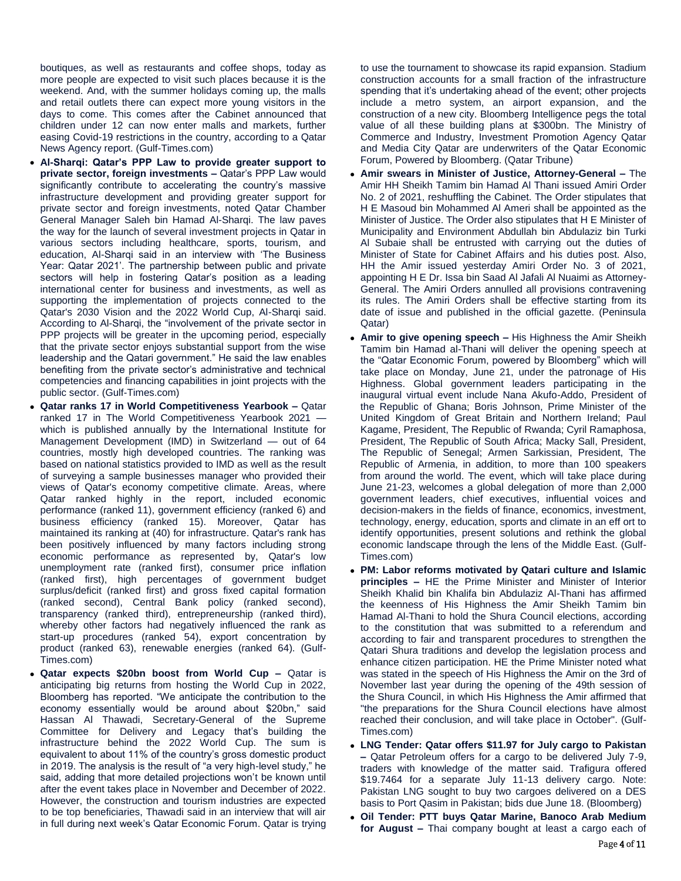boutiques, as well as restaurants and coffee shops, today as more people are expected to visit such places because it is the weekend. And, with the summer holidays coming up, the malls and retail outlets there can expect more young visitors in the days to come. This comes after the Cabinet announced that children under 12 can now enter malls and markets, further easing Covid-19 restrictions in the country, according to a Qatar News Agency report. (Gulf-Times.com)

- **Al-Sharqi: Qatar's PPP Law to provide greater support to private sector, foreign investments –** Qatar's PPP Law would significantly contribute to accelerating the country's massive infrastructure development and providing greater support for private sector and foreign investments, noted Qatar Chamber General Manager Saleh bin Hamad Al-Sharqi. The law paves the way for the launch of several investment projects in Qatar in various sectors including healthcare, sports, tourism, and education, Al-Sharqi said in an interview with 'The Business Year: Qatar 2021'. The partnership between public and private sectors will help in fostering Qatar's position as a leading international center for business and investments, as well as supporting the implementation of projects connected to the Qatar's 2030 Vision and the 2022 World Cup, Al-Sharqi said. According to Al-Sharqi, the "involvement of the private sector in PPP projects will be greater in the upcoming period, especially that the private sector enjoys substantial support from the wise leadership and the Qatari government." He said the law enables benefiting from the private sector's administrative and technical competencies and financing capabilities in joint projects with the public sector. (Gulf-Times.com)
- **Qatar ranks 17 in World Competitiveness Yearbook –** Qatar ranked 17 in The World Competitiveness Yearbook 2021 which is published annually by the International Institute for Management Development (IMD) in Switzerland — out of 64 countries, mostly high developed countries. The ranking was based on national statistics provided to IMD as well as the result of surveying a sample businesses manager who provided their views of Qatar's economy competitive climate. Areas, where Qatar ranked highly in the report, included economic performance (ranked 11), government efficiency (ranked 6) and business efficiency (ranked 15). Moreover, Qatar has maintained its ranking at (40) for infrastructure. Qatar's rank has been positively influenced by many factors including strong economic performance as represented by, Qatar's low unemployment rate (ranked first), consumer price inflation (ranked first), high percentages of government budget surplus/deficit (ranked first) and gross fixed capital formation (ranked second), Central Bank policy (ranked second), transparency (ranked third), entrepreneurship (ranked third), whereby other factors had negatively influenced the rank as start-up procedures (ranked 54), export concentration by product (ranked 63), renewable energies (ranked 64). (Gulf-Times.com)
- **Qatar expects \$20bn boost from World Cup –** Qatar is anticipating big returns from hosting the World Cup in 2022, Bloomberg has reported. "We anticipate the contribution to the economy essentially would be around about \$20bn," said Hassan Al Thawadi, Secretary-General of the Supreme Committee for Delivery and Legacy that's building the infrastructure behind the 2022 World Cup. The sum is equivalent to about 11% of the country's gross domestic product in 2019. The analysis is the result of "a very high-level study," he said, adding that more detailed projections won't be known until after the event takes place in November and December of 2022. However, the construction and tourism industries are expected to be top beneficiaries, Thawadi said in an interview that will air in full during next week's Qatar Economic Forum. Qatar is trying

to use the tournament to showcase its rapid expansion. Stadium construction accounts for a small fraction of the infrastructure spending that it's undertaking ahead of the event; other projects include a metro system, an airport expansion, and the construction of a new city. Bloomberg Intelligence pegs the total value of all these building plans at \$300bn. The Ministry of Commerce and Industry, Investment Promotion Agency Qatar and Media City Qatar are underwriters of the Qatar Economic Forum, Powered by Bloomberg. (Qatar Tribune)

- **Amir swears in Minister of Justice, Attorney-General –** The Amir HH Sheikh Tamim bin Hamad Al Thani issued Amiri Order No. 2 of 2021, reshuffling the Cabinet. The Order stipulates that H E Masoud bin Mohammed Al Ameri shall be appointed as the Minister of Justice. The Order also stipulates that H E Minister of Municipality and Environment Abdullah bin Abdulaziz bin Turki Al Subaie shall be entrusted with carrying out the duties of Minister of State for Cabinet Affairs and his duties post. Also, HH the Amir issued yesterday Amiri Order No. 3 of 2021, appointing H E Dr. Issa bin Saad Al Jafali Al Nuaimi as Attorney-General. The Amiri Orders annulled all provisions contravening its rules. The Amiri Orders shall be effective starting from its date of issue and published in the official gazette. (Peninsula Qatar)
- **Amir to give opening speech –** His Highness the Amir Sheikh Tamim bin Hamad al-Thani will deliver the opening speech at the "Qatar Economic Forum, powered by Bloomberg" which will take place on Monday, June 21, under the patronage of His Highness. Global government leaders participating in the inaugural virtual event include Nana Akufo-Addo, President of the Republic of Ghana; Boris Johnson, Prime Minister of the United Kingdom of Great Britain and Northern Ireland; Paul Kagame, President, The Republic of Rwanda; Cyril Ramaphosa, President, The Republic of South Africa; Macky Sall, President, The Republic of Senegal; Armen Sarkissian, President, The Republic of Armenia, in addition, to more than 100 speakers from around the world. The event, which will take place during June 21-23, welcomes a global delegation of more than 2,000 government leaders, chief executives, influential voices and decision-makers in the fields of finance, economics, investment, technology, energy, education, sports and climate in an eff ort to identify opportunities, present solutions and rethink the global economic landscape through the lens of the Middle East. (Gulf-Times.com)
- **PM: Labor reforms motivated by Qatari culture and Islamic principles –** HE the Prime Minister and Minister of Interior Sheikh Khalid bin Khalifa bin Abdulaziz Al-Thani has affirmed the keenness of His Highness the Amir Sheikh Tamim bin Hamad Al-Thani to hold the Shura Council elections, according to the constitution that was submitted to a referendum and according to fair and transparent procedures to strengthen the Qatari Shura traditions and develop the legislation process and enhance citizen participation. HE the Prime Minister noted what was stated in the speech of His Highness the Amir on the 3rd of November last year during the opening of the 49th session of the Shura Council, in which His Highness the Amir affirmed that "the preparations for the Shura Council elections have almost reached their conclusion, and will take place in October". (Gulf-Times.com)
- **LNG Tender: Qatar offers \$11.97 for July cargo to Pakistan –** Qatar Petroleum offers for a cargo to be delivered July 7-9, traders with knowledge of the matter said. Trafigura offered \$19.7464 for a separate July 11-13 delivery cargo. Note: Pakistan LNG sought to buy two cargoes delivered on a DES basis to Port Qasim in Pakistan; bids due June 18. (Bloomberg)
- **Oil Tender: PTT buys Qatar Marine, Banoco Arab Medium for August –** Thai company bought at least a cargo each of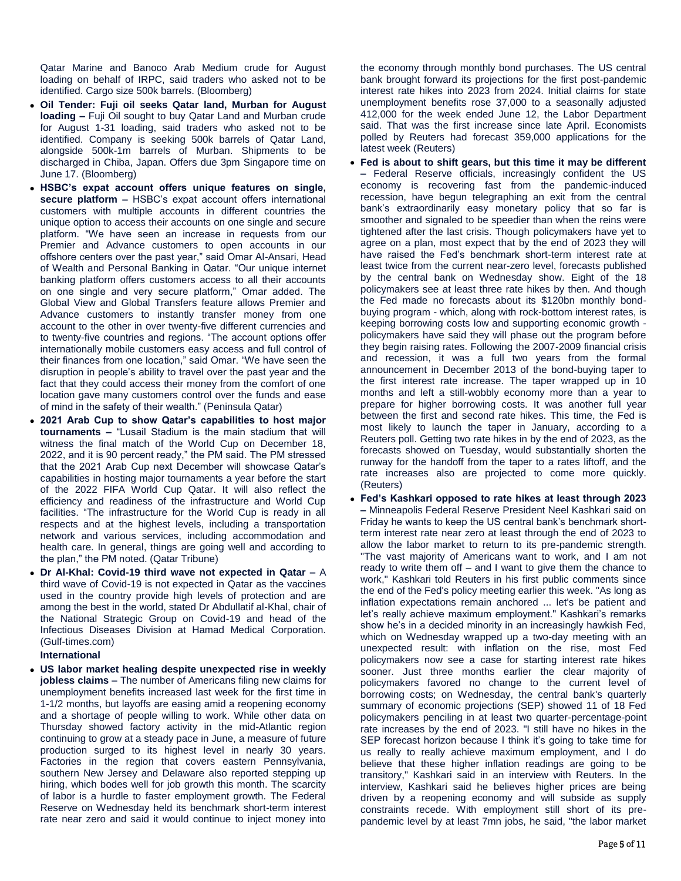Qatar Marine and Banoco Arab Medium crude for August loading on behalf of IRPC, said traders who asked not to be identified. Cargo size 500k barrels. (Bloomberg)

- **Oil Tender: Fuji oil seeks Qatar land, Murban for August loading –** Fuji Oil sought to buy Qatar Land and Murban crude for August 1-31 loading, said traders who asked not to be identified. Company is seeking 500k barrels of Qatar Land, alongside 500k-1m barrels of Murban. Shipments to be discharged in Chiba, Japan. Offers due 3pm Singapore time on June 17. (Bloomberg)
- **HSBC's expat account offers unique features on single, secure platform –** HSBC's expat account offers international customers with multiple accounts in different countries the unique option to access their accounts on one single and secure platform. "We have seen an increase in requests from our Premier and Advance customers to open accounts in our offshore centers over the past year," said Omar Al-Ansari, Head of Wealth and Personal Banking in Qatar. "Our unique internet banking platform offers customers access to all their accounts on one single and very secure platform," Omar added. The Global View and Global Transfers feature allows Premier and Advance customers to instantly transfer money from one account to the other in over twenty-five different currencies and to twenty-five countries and regions. "The account options offer internationally mobile customers easy access and full control of their finances from one location," said Omar. "We have seen the disruption in people's ability to travel over the past year and the fact that they could access their money from the comfort of one location gave many customers control over the funds and ease of mind in the safety of their wealth." (Peninsula Qatar)
- **2021 Arab Cup to show Qatar's capabilities to host major tournaments –** "Lusail Stadium is the main stadium that will witness the final match of the World Cup on December 18, 2022, and it is 90 percent ready," the PM said. The PM stressed that the 2021 Arab Cup next December will showcase Qatar's capabilities in hosting major tournaments a year before the start of the 2022 FIFA World Cup Qatar. It will also reflect the efficiency and readiness of the infrastructure and World Cup facilities. "The infrastructure for the World Cup is ready in all respects and at the highest levels, including a transportation network and various services, including accommodation and health care. In general, things are going well and according to the plan," the PM noted. (Qatar Tribune)
- **Dr Al-Khal: Covid-19 third wave not expected in Qatar –** A third wave of Covid-19 is not expected in Qatar as the vaccines used in the country provide high levels of protection and are among the best in the world, stated Dr Abdullatif al-Khal, chair of the National Strategic Group on Covid-19 and head of the Infectious Diseases Division at Hamad Medical Corporation. (Gulf-times.com)

# **International**

 **US labor market healing despite unexpected rise in weekly jobless claims –** The number of Americans filing new claims for unemployment benefits increased last week for the first time in 1-1/2 months, but layoffs are easing amid a reopening economy and a shortage of people willing to work. While other data on Thursday showed factory activity in the mid-Atlantic region continuing to grow at a steady pace in June, a measure of future production surged to its highest level in nearly 30 years. Factories in the region that covers eastern Pennsylvania, southern New Jersey and Delaware also reported stepping up hiring, which bodes well for job growth this month. The scarcity of labor is a hurdle to faster employment growth. The Federal Reserve on Wednesday held its benchmark short-term interest rate near zero and said it would continue to inject money into

the economy through monthly bond purchases. The US central bank brought forward its projections for the first post-pandemic interest rate hikes into 2023 from 2024. Initial claims for state unemployment benefits rose 37,000 to a seasonally adjusted 412,000 for the week ended June 12, the Labor Department said. That was the first increase since late April. Economists polled by Reuters had forecast 359,000 applications for the latest week (Reuters)

- **Fed is about to shift gears, but this time it may be different –** Federal Reserve officials, increasingly confident the US economy is recovering fast from the pandemic-induced recession, have begun telegraphing an exit from the central bank's extraordinarily easy monetary policy that so far is smoother and signaled to be speedier than when the reins were tightened after the last crisis. Though policymakers have yet to agree on a plan, most expect that by the end of 2023 they will have raised the Fed's benchmark short-term interest rate at least twice from the current near-zero level, forecasts published by the central bank on Wednesday show. Eight of the 18 policymakers see at least three rate hikes by then. And though the Fed made no forecasts about its \$120bn monthly bondbuying program - which, along with rock-bottom interest rates, is keeping borrowing costs low and supporting economic growth policymakers have said they will phase out the program before they begin raising rates. Following the 2007-2009 financial crisis and recession, it was a full two years from the formal announcement in December 2013 of the bond-buying taper to the first interest rate increase. The taper wrapped up in 10 months and left a still-wobbly economy more than a year to prepare for higher borrowing costs. It was another full year between the first and second rate hikes. This time, the Fed is most likely to launch the taper in January, according to a Reuters poll. Getting two rate hikes in by the end of 2023, as the forecasts showed on Tuesday, would substantially shorten the runway for the handoff from the taper to a rates liftoff, and the rate increases also are projected to come more quickly. (Reuters)
- **Fed's Kashkari opposed to rate hikes at least through 2023 –** Minneapolis Federal Reserve President Neel Kashkari said on Friday he wants to keep the US central bank's benchmark shortterm interest rate near zero at least through the end of 2023 to allow the labor market to return to its pre-pandemic strength. "The vast majority of Americans want to work, and I am not ready to write them off – and I want to give them the chance to work," Kashkari told Reuters in his first public comments since the end of the Fed's policy meeting earlier this week. "As long as inflation expectations remain anchored ... let's be patient and let's really achieve maximum employment." Kashkari's remarks show he's in a decided minority in an increasingly hawkish Fed, which on Wednesday wrapped up a two-day meeting with an unexpected result: with inflation on the rise, most Fed policymakers now see a case for starting interest rate hikes sooner. Just three months earlier the clear majority of policymakers favored no change to the current level of borrowing costs; on Wednesday, the central bank's quarterly summary of economic projections (SEP) showed 11 of 18 Fed policymakers penciling in at least two quarter-percentage-point rate increases by the end of 2023. "I still have no hikes in the SEP forecast horizon because I think it's going to take time for us really to really achieve maximum employment, and I do believe that these higher inflation readings are going to be transitory," Kashkari said in an interview with Reuters. In the interview, Kashkari said he believes higher prices are being driven by a reopening economy and will subside as supply constraints recede. With employment still short of its prepandemic level by at least 7mn jobs, he said, "the labor market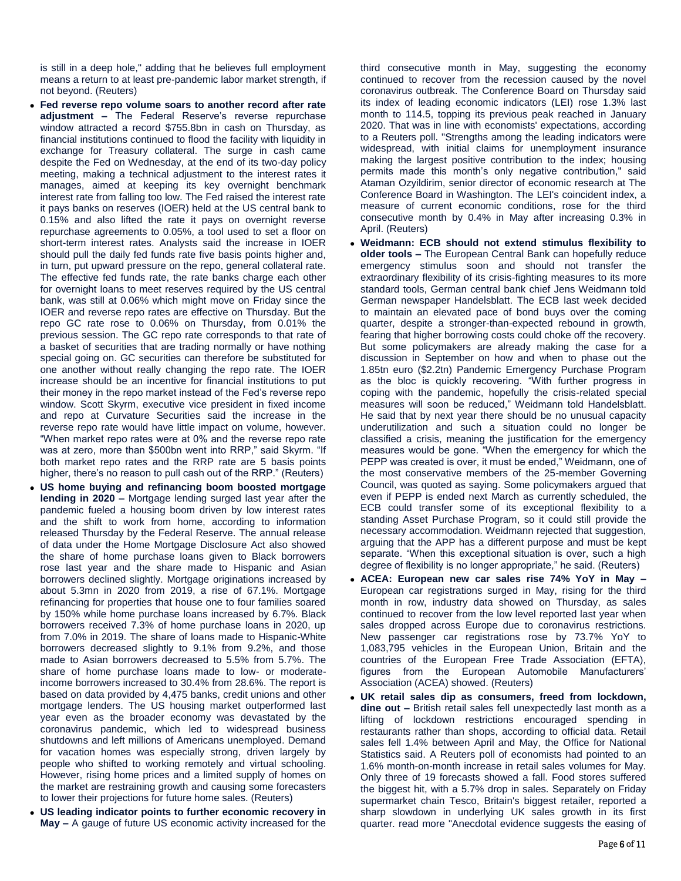is still in a deep hole," adding that he believes full employment means a return to at least pre-pandemic labor market strength, if not beyond. (Reuters)

- **Fed reverse repo volume soars to another record after rate adjustment –** The Federal Reserve's reverse repurchase window attracted a record \$755.8bn in cash on Thursday, as financial institutions continued to flood the facility with liquidity in exchange for Treasury collateral. The surge in cash came despite the Fed on Wednesday, at the end of its two-day policy meeting, making a technical adjustment to the interest rates it manages, aimed at keeping its key overnight benchmark interest rate from falling too low. The Fed raised the interest rate it pays banks on reserves (IOER) held at the US central bank to 0.15% and also lifted the rate it pays on overnight reverse repurchase agreements to 0.05%, a tool used to set a floor on short-term interest rates. Analysts said the increase in IOER should pull the daily fed funds rate five basis points higher and, in turn, put upward pressure on the repo, general collateral rate. The effective fed funds rate, the rate banks charge each other for overnight loans to meet reserves required by the US central bank, was still at 0.06% which might move on Friday since the IOER and reverse repo rates are effective on Thursday. But the repo GC rate rose to 0.06% on Thursday, from 0.01% the previous session. The GC repo rate corresponds to that rate of a basket of securities that are trading normally or have nothing special going on. GC securities can therefore be substituted for one another without really changing the repo rate. The IOER increase should be an incentive for financial institutions to put their money in the repo market instead of the Fed's reverse repo window. Scott Skyrm, executive vice president in fixed income and repo at Curvature Securities said the increase in the reverse repo rate would have little impact on volume, however. "When market repo rates were at 0% and the reverse repo rate was at zero, more than \$500bn went into RRP," said Skyrm. "If both market repo rates and the RRP rate are 5 basis points higher, there's no reason to pull cash out of the RRP." (Reuters)
- **US home buying and refinancing boom boosted mortgage lending in 2020 –** Mortgage lending surged last year after the pandemic fueled a housing boom driven by low interest rates and the shift to work from home, according to information released Thursday by the Federal Reserve. The annual release of data under the Home Mortgage Disclosure Act also showed the share of home purchase loans given to Black borrowers rose last year and the share made to Hispanic and Asian borrowers declined slightly. Mortgage originations increased by about 5.3mn in 2020 from 2019, a rise of 67.1%. Mortgage refinancing for properties that house one to four families soared by 150% while home purchase loans increased by 6.7%. Black borrowers received 7.3% of home purchase loans in 2020, up from 7.0% in 2019. The share of loans made to Hispanic-White borrowers decreased slightly to 9.1% from 9.2%, and those made to Asian borrowers decreased to 5.5% from 5.7%. The share of home purchase loans made to low- or moderateincome borrowers increased to 30.4% from 28.6%. The report is based on data provided by 4,475 banks, credit unions and other mortgage lenders. The US housing market outperformed last year even as the broader economy was devastated by the coronavirus pandemic, which led to widespread business shutdowns and left millions of Americans unemployed. Demand for vacation homes was especially strong, driven largely by people who shifted to working remotely and virtual schooling. However, rising home prices and a limited supply of homes on the market are restraining growth and causing some forecasters to lower their projections for future home sales. (Reuters)
- **US leading indicator points to further economic recovery in May –** A gauge of future US economic activity increased for the

third consecutive month in May, suggesting the economy continued to recover from the recession caused by the novel coronavirus outbreak. The Conference Board on Thursday said its index of leading economic indicators (LEI) rose 1.3% last month to 114.5, topping its previous peak reached in January 2020. That was in line with economists' expectations, according to a Reuters poll. "Strengths among the leading indicators were widespread, with initial claims for unemployment insurance making the largest positive contribution to the index; housing permits made this month's only negative contribution," said Ataman Ozyildirim, senior director of economic research at The Conference Board in Washington. The LEI's coincident index, a measure of current economic conditions, rose for the third consecutive month by 0.4% in May after increasing 0.3% in April. (Reuters)

- **Weidmann: ECB should not extend stimulus flexibility to older tools –** The European Central Bank can hopefully reduce emergency stimulus soon and should not transfer the extraordinary flexibility of its crisis-fighting measures to its more standard tools, German central bank chief Jens Weidmann told German newspaper Handelsblatt. The ECB last week decided to maintain an elevated pace of bond buys over the coming quarter, despite a stronger-than-expected rebound in growth, fearing that higher borrowing costs could choke off the recovery. But some policymakers are already making the case for a discussion in September on how and when to phase out the 1.85tn euro (\$2.2tn) Pandemic Emergency Purchase Program as the bloc is quickly recovering. "With further progress in coping with the pandemic, hopefully the crisis-related special measures will soon be reduced," Weidmann told Handelsblatt. He said that by next year there should be no unusual capacity underutilization and such a situation could no longer be classified a crisis, meaning the justification for the emergency measures would be gone. "When the emergency for which the PEPP was created is over, it must be ended," Weidmann, one of the most conservative members of the 25-member Governing Council, was quoted as saying. Some policymakers argued that even if PEPP is ended next March as currently scheduled, the ECB could transfer some of its exceptional flexibility to a standing Asset Purchase Program, so it could still provide the necessary accommodation. Weidmann rejected that suggestion, arguing that the APP has a different purpose and must be kept separate. "When this exceptional situation is over, such a high degree of flexibility is no longer appropriate," he said. (Reuters)
- **ACEA: European new car sales rise 74% YoY in May –** European car registrations surged in May, rising for the third month in row, industry data showed on Thursday, as sales continued to recover from the low level reported last year when sales dropped across Europe due to coronavirus restrictions. New passenger car registrations rose by 73.7% YoY to 1,083,795 vehicles in the European Union, Britain and the countries of the European Free Trade Association (EFTA), figures from the European Automobile Manufacturers' Association (ACEA) showed. (Reuters)
- **UK retail sales dip as consumers, freed from lockdown, dine out –** British retail sales fell unexpectedly last month as a lifting of lockdown restrictions encouraged spending in restaurants rather than shops, according to official data. Retail sales fell 1.4% between April and May, the Office for National Statistics said. A Reuters poll of economists had pointed to an 1.6% month-on-month increase in retail sales volumes for May. Only three of 19 forecasts showed a fall. Food stores suffered the biggest hit, with a 5.7% drop in sales. Separately on Friday supermarket chain Tesco, Britain's biggest retailer, reported a sharp slowdown in underlying UK sales growth in its first quarter. read more "Anecdotal evidence suggests the easing of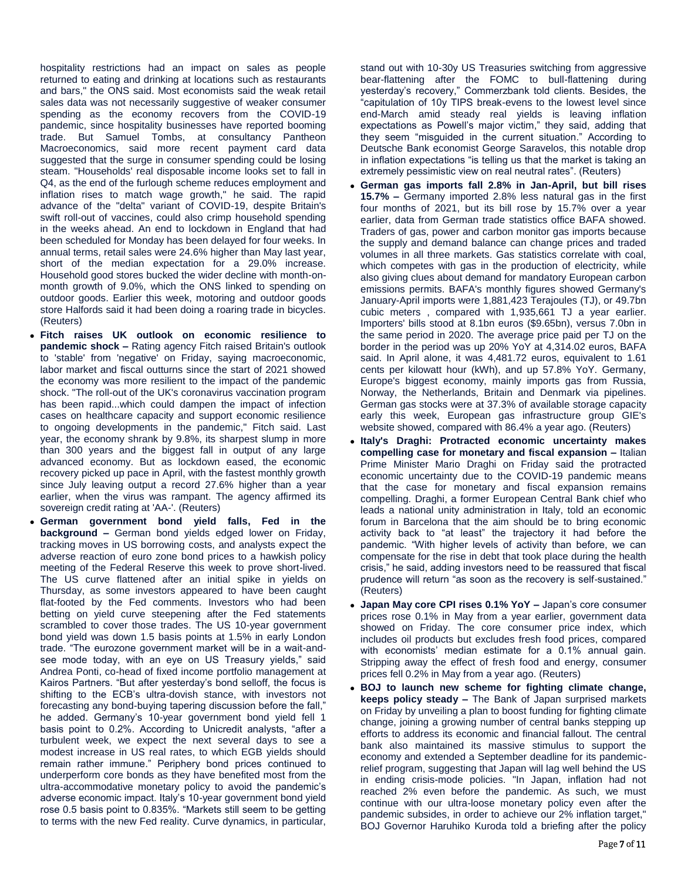hospitality restrictions had an impact on sales as people returned to eating and drinking at locations such as restaurants and bars," the ONS said. Most economists said the weak retail sales data was not necessarily suggestive of weaker consumer spending as the economy recovers from the COVID-19 pandemic, since hospitality businesses have reported booming trade. But Samuel Tombs, at consultancy Pantheon Macroeconomics, said more recent payment card data suggested that the surge in consumer spending could be losing steam. "Households' real disposable income looks set to fall in Q4, as the end of the furlough scheme reduces employment and inflation rises to match wage growth," he said. The rapid advance of the "delta" variant of COVID-19, despite Britain's swift roll-out of vaccines, could also crimp household spending in the weeks ahead. An end to lockdown in England that had been scheduled for Monday has been delayed for four weeks. In annual terms, retail sales were 24.6% higher than May last year, short of the median expectation for a 29.0% increase. Household good stores bucked the wider decline with month-onmonth growth of 9.0%, which the ONS linked to spending on outdoor goods. Earlier this week, motoring and outdoor goods store Halfords said it had been doing a roaring trade in bicycles. (Reuters)

- **Fitch raises UK outlook on economic resilience to pandemic shock –** Rating agency Fitch raised Britain's outlook to 'stable' from 'negative' on Friday, saying macroeconomic, labor market and fiscal outturns since the start of 2021 showed the economy was more resilient to the impact of the pandemic shock. "The roll-out of the UK's coronavirus vaccination program has been rapid...which could dampen the impact of infection cases on healthcare capacity and support economic resilience to ongoing developments in the pandemic," Fitch said. Last year, the economy shrank by 9.8%, its sharpest slump in more than 300 years and the biggest fall in output of any large advanced economy. But as lockdown eased, the economic recovery picked up pace in April, with the fastest monthly growth since July leaving output a record 27.6% higher than a year earlier, when the virus was rampant. The agency affirmed its sovereign credit rating at 'AA-'. (Reuters)
- **German government bond yield falls, Fed in the background –** German bond yields edged lower on Friday, tracking moves in US borrowing costs, and analysts expect the adverse reaction of euro zone bond prices to a hawkish policy meeting of the Federal Reserve this week to prove short-lived. The US curve flattened after an initial spike in yields on Thursday, as some investors appeared to have been caught flat-footed by the Fed comments. Investors who had been betting on yield curve steepening after the Fed statements scrambled to cover those trades. The US 10-year government bond yield was down 1.5 basis points at 1.5% in early London trade. "The eurozone government market will be in a wait-andsee mode today, with an eye on US Treasury yields," said Andrea Ponti, co-head of fixed income portfolio management at Kairos Partners. "But after yesterday's bond selloff, the focus is shifting to the ECB's ultra-dovish stance, with investors not forecasting any bond-buying tapering discussion before the fall," he added. Germany's 10-year government bond yield fell 1 basis point to 0.2%. According to Unicredit analysts, "after a turbulent week, we expect the next several days to see a modest increase in US real rates, to which EGB yields should remain rather immune." Periphery bond prices continued to underperform core bonds as they have benefited most from the ultra-accommodative monetary policy to avoid the pandemic's adverse economic impact. Italy's 10-year government bond yield rose 0.5 basis point to 0.835%. "Markets still seem to be getting to terms with the new Fed reality. Curve dynamics, in particular,

stand out with 10-30y US Treasuries switching from aggressive bear-flattening after the FOMC to bull-flattening during yesterday's recovery," Commerzbank told clients. Besides, the "capitulation of 10y TIPS break-evens to the lowest level since end-March amid steady real yields is leaving inflation expectations as Powell's major victim," they said, adding that they seem "misguided in the current situation." According to Deutsche Bank economist George Saravelos, this notable drop in inflation expectations "is telling us that the market is taking an extremely pessimistic view on real neutral rates". (Reuters)

- **German gas imports fall 2.8% in Jan-April, but bill rises 15.7% –** Germany imported 2.8% less natural gas in the first four months of 2021, but its bill rose by 15.7% over a year earlier, data from German trade statistics office BAFA showed. Traders of gas, power and carbon monitor gas imports because the supply and demand balance can change prices and traded volumes in all three markets. Gas statistics correlate with coal, which competes with gas in the production of electricity, while also giving clues about demand for mandatory European carbon emissions permits. BAFA's monthly figures showed Germany's January-April imports were 1,881,423 Terajoules (TJ), or 49.7bn cubic meters , compared with 1,935,661 TJ a year earlier. Importers' bills stood at 8.1bn euros (\$9.65bn), versus 7.0bn in the same period in 2020. The average price paid per TJ on the border in the period was up 20% YoY at 4,314.02 euros, BAFA said. In April alone, it was 4,481.72 euros, equivalent to 1.61 cents per kilowatt hour (kWh), and up 57.8% YoY. Germany, Europe's biggest economy, mainly imports gas from Russia, Norway, the Netherlands, Britain and Denmark via pipelines. German gas stocks were at 37.3% of available storage capacity early this week, European gas infrastructure group GIE's website showed, compared with 86.4% a year ago. (Reuters)
- **Italy's Draghi: Protracted economic uncertainty makes compelling case for monetary and fiscal expansion –** Italian Prime Minister Mario Draghi on Friday said the protracted economic uncertainty due to the COVID-19 pandemic means that the case for monetary and fiscal expansion remains compelling. Draghi, a former European Central Bank chief who leads a national unity administration in Italy, told an economic forum in Barcelona that the aim should be to bring economic activity back to "at least" the trajectory it had before the pandemic. "With higher levels of activity than before, we can compensate for the rise in debt that took place during the health crisis," he said, adding investors need to be reassured that fiscal prudence will return "as soon as the recovery is self-sustained." (Reuters)
- **Japan May core CPI rises 0.1% YoY –** Japan's core consumer prices rose 0.1% in May from a year earlier, government data showed on Friday. The core consumer price index, which includes oil products but excludes fresh food prices, compared with economists' median estimate for a 0.1% annual gain. Stripping away the effect of fresh food and energy, consumer prices fell 0.2% in May from a year ago. (Reuters)
- **BOJ to launch new scheme for fighting climate change, keeps policy steady –** The Bank of Japan surprised markets on Friday by unveiling a plan to boost funding for fighting climate change, joining a growing number of central banks stepping up efforts to address its economic and financial fallout. The central bank also maintained its massive stimulus to support the economy and extended a September deadline for its pandemicrelief program, suggesting that Japan will lag well behind the US in ending crisis-mode policies. "In Japan, inflation had not reached 2% even before the pandemic. As such, we must continue with our ultra-loose monetary policy even after the pandemic subsides, in order to achieve our 2% inflation target," BOJ Governor Haruhiko Kuroda told a briefing after the policy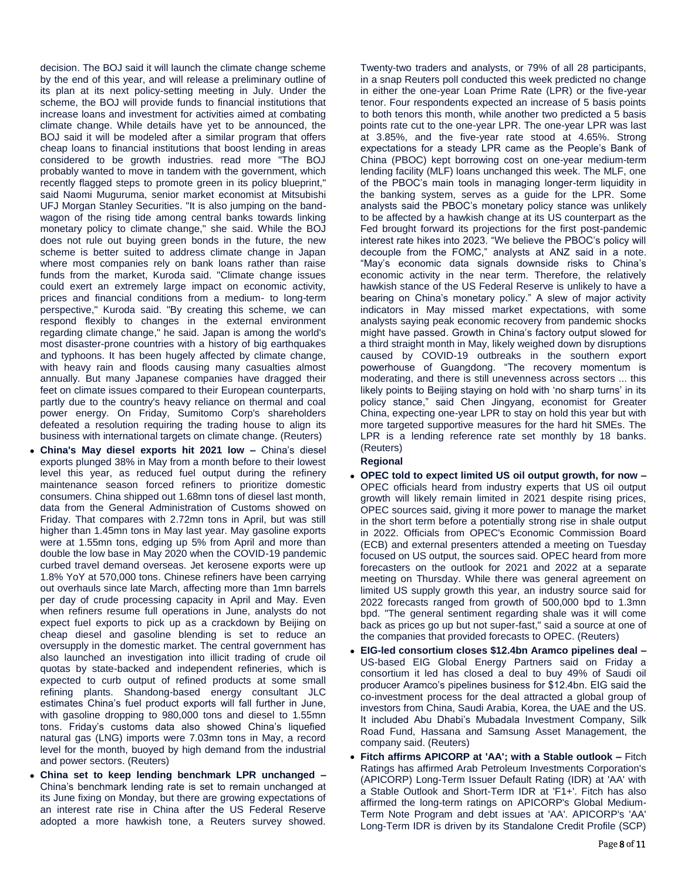decision. The BOJ said it will launch the climate change scheme by the end of this year, and will release a preliminary outline of its plan at its next policy-setting meeting in July. Under the scheme, the BOJ will provide funds to financial institutions that increase loans and investment for activities aimed at combating climate change. While details have yet to be announced, the BOJ said it will be modeled after a similar program that offers cheap loans to financial institutions that boost lending in areas considered to be growth industries. read more "The BOJ probably wanted to move in tandem with the government, which recently flagged steps to promote green in its policy blueprint," said Naomi Muguruma, senior market economist at Mitsubishi UFJ Morgan Stanley Securities. "It is also jumping on the bandwagon of the rising tide among central banks towards linking monetary policy to climate change," she said. While the BOJ does not rule out buying green bonds in the future, the new scheme is better suited to address climate change in Japan where most companies rely on bank loans rather than raise funds from the market, Kuroda said. "Climate change issues could exert an extremely large impact on economic activity, prices and financial conditions from a medium- to long-term perspective," Kuroda said. "By creating this scheme, we can respond flexibly to changes in the external environment regarding climate change," he said. Japan is among the world's most disaster-prone countries with a history of big earthquakes and typhoons. It has been hugely affected by climate change, with heavy rain and floods causing many casualties almost annually. But many Japanese companies have dragged their feet on climate issues compared to their European counterparts, partly due to the country's heavy reliance on thermal and coal power energy. On Friday, Sumitomo Corp's shareholders defeated a resolution requiring the trading house to align its business with international targets on climate change. (Reuters)

- **China's May diesel exports hit 2021 low –** China's diesel exports plunged 38% in May from a month before to their lowest level this year, as reduced fuel output during the refinery maintenance season forced refiners to prioritize domestic consumers. China shipped out 1.68mn tons of diesel last month, data from the General Administration of Customs showed on Friday. That compares with 2.72mn tons in April, but was still higher than 1.45mn tons in May last year. May gasoline exports were at 1.55mn tons, edging up 5% from April and more than double the low base in May 2020 when the COVID-19 pandemic curbed travel demand overseas. Jet kerosene exports were up 1.8% YoY at 570,000 tons. Chinese refiners have been carrying out overhauls since late March, affecting more than 1mn barrels per day of crude processing capacity in April and May. Even when refiners resume full operations in June, analysts do not expect fuel exports to pick up as a crackdown by Beijing on cheap diesel and gasoline blending is set to reduce an oversupply in the domestic market. The central government has also launched an investigation into illicit trading of crude oil quotas by state-backed and independent refineries, which is expected to curb output of refined products at some small refining plants. Shandong-based energy consultant JLC estimates China's fuel product exports will fall further in June, with gasoline dropping to 980,000 tons and diesel to 1.55mn tons. Friday's customs data also showed China's liquefied natural gas (LNG) imports were 7.03mn tons in May, a record level for the month, buoyed by high demand from the industrial and power sectors. (Reuters)
- **China set to keep lending benchmark LPR unchanged –** China's benchmark lending rate is set to remain unchanged at its June fixing on Monday, but there are growing expectations of an interest rate rise in China after the US Federal Reserve adopted a more hawkish tone, a Reuters survey showed.

Twenty-two traders and analysts, or 79% of all 28 participants, in a snap Reuters poll conducted this week predicted no change in either the one-year Loan Prime Rate (LPR) or the five-year tenor. Four respondents expected an increase of 5 basis points to both tenors this month, while another two predicted a 5 basis points rate cut to the one-year LPR. The one-year LPR was last at 3.85%, and the five-year rate stood at 4.65%. Strong expectations for a steady LPR came as the People's Bank of China (PBOC) kept borrowing cost on one-year medium-term lending facility (MLF) loans unchanged this week. The MLF, one of the PBOC's main tools in managing longer-term liquidity in the banking system, serves as a guide for the LPR. Some analysts said the PBOC's monetary policy stance was unlikely to be affected by a hawkish change at its US counterpart as the Fed brought forward its projections for the first post-pandemic interest rate hikes into 2023. "We believe the PBOC's policy will decouple from the FOMC," analysts at ANZ said in a note. "May's economic data signals downside risks to China's economic activity in the near term. Therefore, the relatively hawkish stance of the US Federal Reserve is unlikely to have a bearing on China's monetary policy." A slew of major activity indicators in May missed market expectations, with some analysts saying peak economic recovery from pandemic shocks might have passed. Growth in China's factory output slowed for a third straight month in May, likely weighed down by disruptions caused by COVID-19 outbreaks in the southern export powerhouse of Guangdong. "The recovery momentum is moderating, and there is still unevenness across sectors ... this likely points to Beijing staying on hold with 'no sharp turns' in its policy stance," said Chen Jingyang, economist for Greater China, expecting one-year LPR to stay on hold this year but with more targeted supportive measures for the hard hit SMEs. The LPR is a lending reference rate set monthly by 18 banks. (Reuters)

# **Regional**

- **OPEC told to expect limited US oil output growth, for now –** OPEC officials heard from industry experts that US oil output growth will likely remain limited in 2021 despite rising prices, OPEC sources said, giving it more power to manage the market in the short term before a potentially strong rise in shale output in 2022. Officials from OPEC's Economic Commission Board (ECB) and external presenters attended a meeting on Tuesday focused on US output, the sources said. OPEC heard from more forecasters on the outlook for 2021 and 2022 at a separate meeting on Thursday. While there was general agreement on limited US supply growth this year, an industry source said for 2022 forecasts ranged from growth of 500,000 bpd to 1.3mn bpd. "The general sentiment regarding shale was it will come back as prices go up but not super-fast," said a source at one of the companies that provided forecasts to OPEC. (Reuters)
- **EIG-led consortium closes \$12.4bn Aramco pipelines deal –** US-based EIG Global Energy Partners said on Friday a consortium it led has closed a deal to buy 49% of Saudi oil producer Aramco's pipelines business for \$12.4bn. EIG said the co-investment process for the deal attracted a global group of investors from China, Saudi Arabia, Korea, the UAE and the US. It included Abu Dhabi's Mubadala Investment Company, Silk Road Fund, Hassana and Samsung Asset Management, the company said. (Reuters)
- **Fitch affirms APICORP at 'AA'; with a Stable outlook –** Fitch Ratings has affirmed Arab Petroleum Investments Corporation's (APICORP) Long-Term Issuer Default Rating (IDR) at 'AA' with a Stable Outlook and Short-Term IDR at 'F1+'. Fitch has also affirmed the long-term ratings on APICORP's Global Medium-Term Note Program and debt issues at 'AA'. APICORP's 'AA' Long-Term IDR is driven by its Standalone Credit Profile (SCP)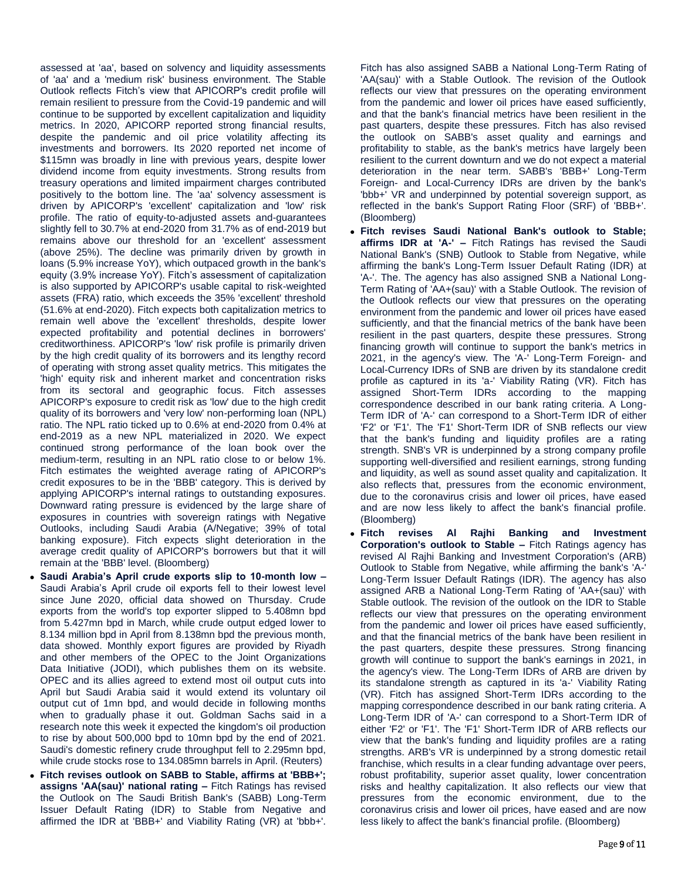assessed at 'aa', based on solvency and liquidity assessments of 'aa' and a 'medium risk' business environment. The Stable Outlook reflects Fitch's view that APICORP's credit profile will remain resilient to pressure from the Covid-19 pandemic and will continue to be supported by excellent capitalization and liquidity metrics. In 2020, APICORP reported strong financial results, despite the pandemic and oil price volatility affecting its investments and borrowers. Its 2020 reported net income of \$115mn was broadly in line with previous years, despite lower dividend income from equity investments. Strong results from treasury operations and limited impairment charges contributed positively to the bottom line. The 'aa' solvency assessment is driven by APICORP's 'excellent' capitalization and 'low' risk profile. The ratio of equity-to-adjusted assets and-guarantees slightly fell to 30.7% at end-2020 from 31.7% as of end-2019 but remains above our threshold for an 'excellent' assessment (above 25%). The decline was primarily driven by growth in loans (5.9% increase YoY), which outpaced growth in the bank's equity (3.9% increase YoY). Fitch's assessment of capitalization is also supported by APICORP's usable capital to risk-weighted assets (FRA) ratio, which exceeds the 35% 'excellent' threshold (51.6% at end-2020). Fitch expects both capitalization metrics to remain well above the 'excellent' thresholds, despite lower expected profitability and potential declines in borrowers' creditworthiness. APICORP's 'low' risk profile is primarily driven by the high credit quality of its borrowers and its lengthy record of operating with strong asset quality metrics. This mitigates the 'high' equity risk and inherent market and concentration risks from its sectoral and geographic focus. Fitch assesses APICORP's exposure to credit risk as 'low' due to the high credit quality of its borrowers and 'very low' non-performing loan (NPL) ratio. The NPL ratio ticked up to 0.6% at end-2020 from 0.4% at end-2019 as a new NPL materialized in 2020. We expect continued strong performance of the loan book over the medium-term, resulting in an NPL ratio close to or below 1%. Fitch estimates the weighted average rating of APICORP's credit exposures to be in the 'BBB' category. This is derived by applying APICORP's internal ratings to outstanding exposures. Downward rating pressure is evidenced by the large share of exposures in countries with sovereign ratings with Negative Outlooks, including Saudi Arabia (A/Negative; 39% of total banking exposure). Fitch expects slight deterioration in the average credit quality of APICORP's borrowers but that it will remain at the 'BBB' level. (Bloomberg)

- **Saudi Arabia's April crude exports slip to 10-month low –** Saudi Arabia's April crude oil exports fell to their lowest level since June 2020, official data showed on Thursday. Crude exports from the world's top exporter slipped to 5.408mn bpd from 5.427mn bpd in March, while crude output edged lower to 8.134 million bpd in April from 8.138mn bpd the previous month, data showed. Monthly export figures are provided by Riyadh and other members of the OPEC to the Joint Organizations Data Initiative (JODI), which publishes them on its website. OPEC and its allies agreed to extend most oil output cuts into April but Saudi Arabia said it would extend its voluntary oil output cut of 1mn bpd, and would decide in following months when to gradually phase it out. Goldman Sachs said in a research note this week it expected the kingdom's oil production to rise by about 500,000 bpd to 10mn bpd by the end of 2021. Saudi's domestic refinery crude throughput fell to 2.295mn bpd, while crude stocks rose to 134.085mn barrels in April. (Reuters)
- **Fitch revises outlook on SABB to Stable, affirms at 'BBB+'; assigns 'AA(sau)' national rating –** Fitch Ratings has revised the Outlook on The Saudi British Bank's (SABB) Long-Term Issuer Default Rating (IDR) to Stable from Negative and affirmed the IDR at 'BBB+' and Viability Rating (VR) at 'bbb+'.

Fitch has also assigned SABB a National Long-Term Rating of 'AA(sau)' with a Stable Outlook. The revision of the Outlook reflects our view that pressures on the operating environment from the pandemic and lower oil prices have eased sufficiently, and that the bank's financial metrics have been resilient in the past quarters, despite these pressures. Fitch has also revised the outlook on SABB's asset quality and earnings and profitability to stable, as the bank's metrics have largely been resilient to the current downturn and we do not expect a material deterioration in the near term. SABB's 'BBB+' Long-Term Foreign- and Local-Currency IDRs are driven by the bank's 'bbb+' VR and underpinned by potential sovereign support, as reflected in the bank's Support Rating Floor (SRF) of 'BBB+'. (Bloomberg)

- **Fitch revises Saudi National Bank's outlook to Stable; affirms IDR at 'A-' –** Fitch Ratings has revised the Saudi National Bank's (SNB) Outlook to Stable from Negative, while affirming the bank's Long-Term Issuer Default Rating (IDR) at 'A-'. The. The agency has also assigned SNB a National Long-Term Rating of 'AA+(sau)' with a Stable Outlook. The revision of the Outlook reflects our view that pressures on the operating environment from the pandemic and lower oil prices have eased sufficiently, and that the financial metrics of the bank have been resilient in the past quarters, despite these pressures. Strong financing growth will continue to support the bank's metrics in 2021, in the agency's view. The 'A-' Long-Term Foreign- and Local-Currency IDRs of SNB are driven by its standalone credit profile as captured in its 'a-' Viability Rating (VR). Fitch has assigned Short-Term IDRs according to the mapping correspondence described in our bank rating criteria. A Long-Term IDR of 'A-' can correspond to a Short-Term IDR of either 'F2' or 'F1'. The 'F1' Short-Term IDR of SNB reflects our view that the bank's funding and liquidity profiles are a rating strength. SNB's VR is underpinned by a strong company profile supporting well-diversified and resilient earnings, strong funding and liquidity, as well as sound asset quality and capitalization. It also reflects that, pressures from the economic environment, due to the coronavirus crisis and lower oil prices, have eased and are now less likely to affect the bank's financial profile. (Bloomberg)
- **Fitch revises Al Rajhi Banking and Investment Corporation's outlook to Stable –** Fitch Ratings agency has revised Al Rajhi Banking and Investment Corporation's (ARB) Outlook to Stable from Negative, while affirming the bank's 'A-' Long-Term Issuer Default Ratings (IDR). The agency has also assigned ARB a National Long-Term Rating of 'AA+(sau)' with Stable outlook. The revision of the outlook on the IDR to Stable reflects our view that pressures on the operating environment from the pandemic and lower oil prices have eased sufficiently, and that the financial metrics of the bank have been resilient in the past quarters, despite these pressures. Strong financing growth will continue to support the bank's earnings in 2021, in the agency's view. The Long-Term IDRs of ARB are driven by its standalone strength as captured in its 'a-' Viability Rating (VR). Fitch has assigned Short-Term IDRs according to the mapping correspondence described in our bank rating criteria. A Long-Term IDR of 'A-' can correspond to a Short-Term IDR of either 'F2' or 'F1'. The 'F1' Short-Term IDR of ARB reflects our view that the bank's funding and liquidity profiles are a rating strengths. ARB's VR is underpinned by a strong domestic retail franchise, which results in a clear funding advantage over peers, robust profitability, superior asset quality, lower concentration risks and healthy capitalization. It also reflects our view that pressures from the economic environment, due to the coronavirus crisis and lower oil prices, have eased and are now less likely to affect the bank's financial profile. (Bloomberg)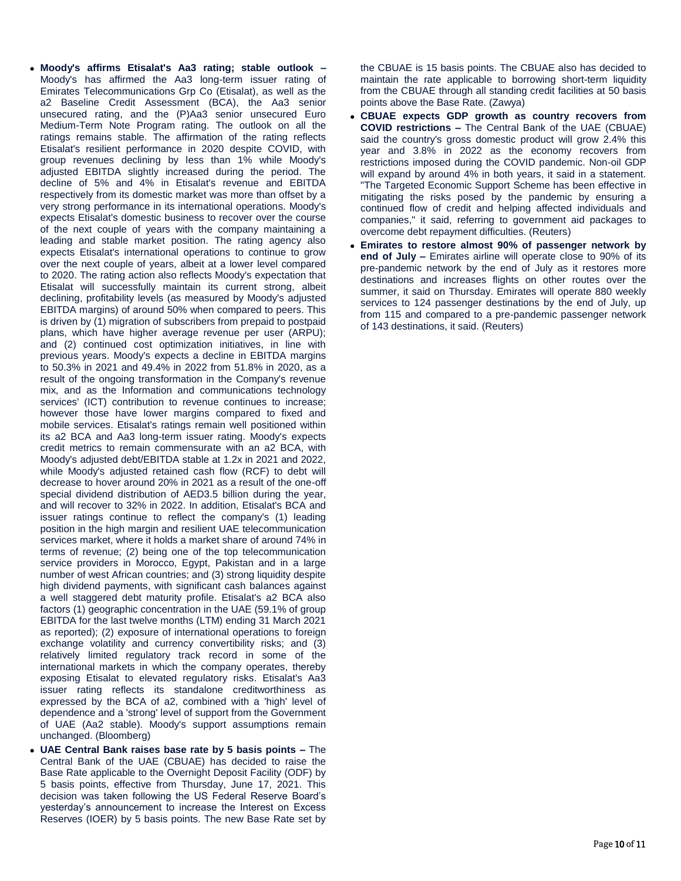- **Moody's affirms Etisalat's Aa3 rating; stable outlook –** Moody's has affirmed the Aa3 long-term issuer rating of Emirates Telecommunications Grp Co (Etisalat), as well as the a2 Baseline Credit Assessment (BCA), the Aa3 senior unsecured rating, and the (P)Aa3 senior unsecured Euro Medium-Term Note Program rating. The outlook on all the ratings remains stable. The affirmation of the rating reflects Etisalat's resilient performance in 2020 despite COVID, with group revenues declining by less than 1% while Moody's adjusted EBITDA slightly increased during the period. The decline of 5% and 4% in Etisalat's revenue and EBITDA respectively from its domestic market was more than offset by a very strong performance in its international operations. Moody's expects Etisalat's domestic business to recover over the course of the next couple of years with the company maintaining a leading and stable market position. The rating agency also expects Etisalat's international operations to continue to grow over the next couple of years, albeit at a lower level compared to 2020. The rating action also reflects Moody's expectation that Etisalat will successfully maintain its current strong, albeit declining, profitability levels (as measured by Moody's adjusted EBITDA margins) of around 50% when compared to peers. This is driven by (1) migration of subscribers from prepaid to postpaid plans, which have higher average revenue per user (ARPU); and (2) continued cost optimization initiatives, in line with previous years. Moody's expects a decline in EBITDA margins to 50.3% in 2021 and 49.4% in 2022 from 51.8% in 2020, as a result of the ongoing transformation in the Company's revenue mix, and as the Information and communications technology services' (ICT) contribution to revenue continues to increase; however those have lower margins compared to fixed and mobile services. Etisalat's ratings remain well positioned within its a2 BCA and Aa3 long-term issuer rating. Moody's expects credit metrics to remain commensurate with an a2 BCA, with Moody's adjusted debt/EBITDA stable at 1.2x in 2021 and 2022, while Moody's adjusted retained cash flow (RCF) to debt will decrease to hover around 20% in 2021 as a result of the one-off special dividend distribution of AED3.5 billion during the year, and will recover to 32% in 2022. In addition, Etisalat's BCA and issuer ratings continue to reflect the company's (1) leading position in the high margin and resilient UAE telecommunication services market, where it holds a market share of around 74% in terms of revenue; (2) being one of the top telecommunication service providers in Morocco, Egypt, Pakistan and in a large number of west African countries; and (3) strong liquidity despite high dividend payments, with significant cash balances against a well staggered debt maturity profile. Etisalat's a2 BCA also factors (1) geographic concentration in the UAE (59.1% of group EBITDA for the last twelve months (LTM) ending 31 March 2021 as reported); (2) exposure of international operations to foreign exchange volatility and currency convertibility risks; and (3) relatively limited regulatory track record in some of the international markets in which the company operates, thereby exposing Etisalat to elevated regulatory risks. Etisalat's Aa3 issuer rating reflects its standalone creditworthiness as expressed by the BCA of a2, combined with a 'high' level of dependence and a 'strong' level of support from the Government of UAE (Aa2 stable). Moody's support assumptions remain unchanged. (Bloomberg)
- **UAE Central Bank raises base rate by 5 basis points –** The Central Bank of the UAE (CBUAE) has decided to raise the Base Rate applicable to the Overnight Deposit Facility (ODF) by 5 basis points, effective from Thursday, June 17, 2021. This decision was taken following the US Federal Reserve Board's yesterday's announcement to increase the Interest on Excess Reserves (IOER) by 5 basis points. The new Base Rate set by

the CBUAE is 15 basis points. The CBUAE also has decided to maintain the rate applicable to borrowing short-term liquidity from the CBUAE through all standing credit facilities at 50 basis points above the Base Rate. (Zawya)

- **CBUAE expects GDP growth as country recovers from COVID restrictions –** The Central Bank of the UAE (CBUAE) said the country's gross domestic product will grow 2.4% this year and 3.8% in 2022 as the economy recovers from restrictions imposed during the COVID pandemic. Non-oil GDP will expand by around 4% in both years, it said in a statement. "The Targeted Economic Support Scheme has been effective in mitigating the risks posed by the pandemic by ensuring a continued flow of credit and helping affected individuals and companies," it said, referring to government aid packages to overcome debt repayment difficulties. (Reuters)
- **Emirates to restore almost 90% of passenger network by end of July –** Emirates airline will operate close to 90% of its pre-pandemic network by the end of July as it restores more destinations and increases flights on other routes over the summer, it said on Thursday. Emirates will operate 880 weekly services to 124 passenger destinations by the end of July, up from 115 and compared to a pre-pandemic passenger network of 143 destinations, it said. (Reuters)